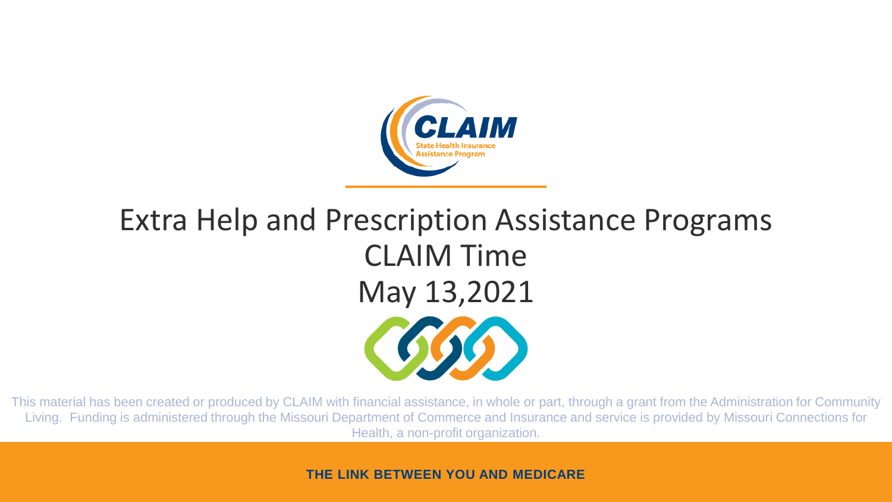

# Extra Help and Prescription Assistance Programs CLAIM Time May 13,2021

This material has been created or produced by CLAIM with financial assistance, in whole or part, through a grant from the Administration for Community Living. Funding is administered through the Missouri Department of Commerce and Insurance and service is provided by Missouri Connections for Health, a non-profit organization.

**THE LINK BETWEEN YOU AND MEDICARE**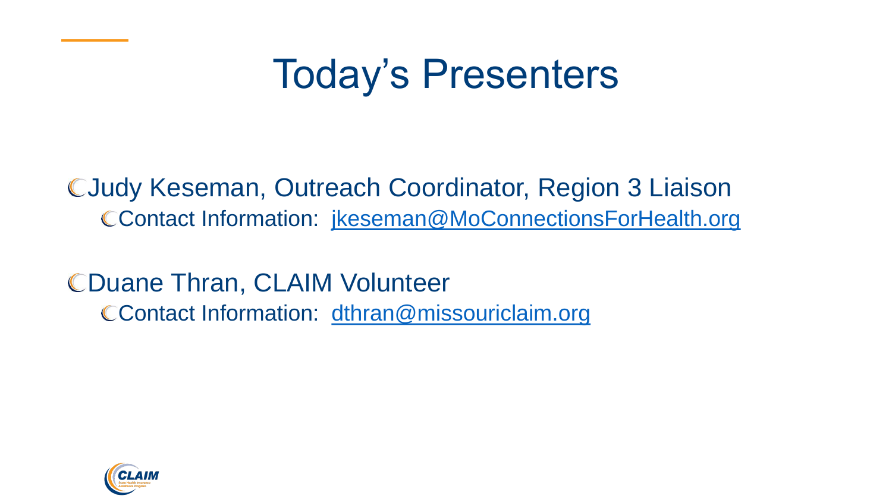#### Today's Presenters

Judy Keseman, Outreach Coordinator, Region 3 Liaison Contact Information: [jkeseman@MoConnectionsForHealth.org](mailto:jkeseman@MoConnectionsForHealth.org)

CDuane Thran, CLAIM Volunteer CContact Information: [dthran@missouriclaim.org](mailto:dthran@missouriclaim.org)

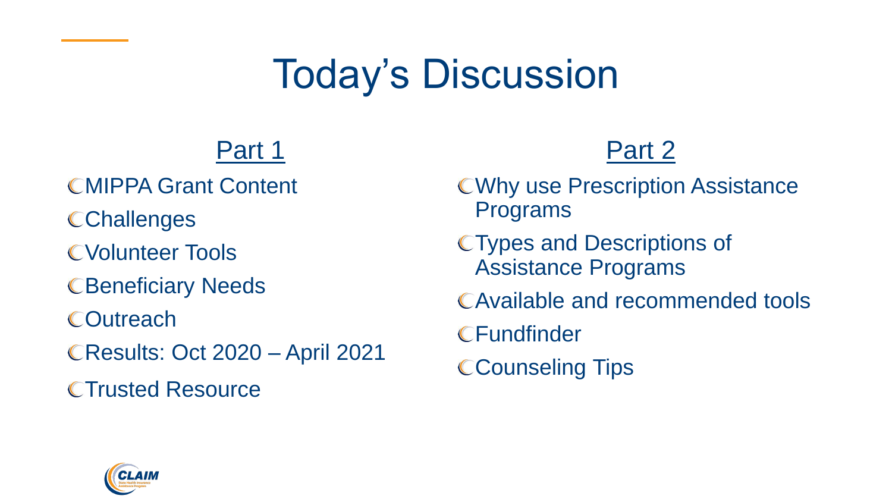### Today's Discussion

#### Part 1

- **CMIPPA Grant Content**
- **CChallenges**
- Volunteer Tools
- **CBeneficiary Needs**
- **COutreach**
- Results: Oct 2020 April 2021
- **CTrusted Resource**

#### Part 2

- Why use Prescription Assistance Programs
- Types and Descriptions of Assistance Programs
- Available and recommended tools
- **CFundfinder**
- **CCounseling Tips**

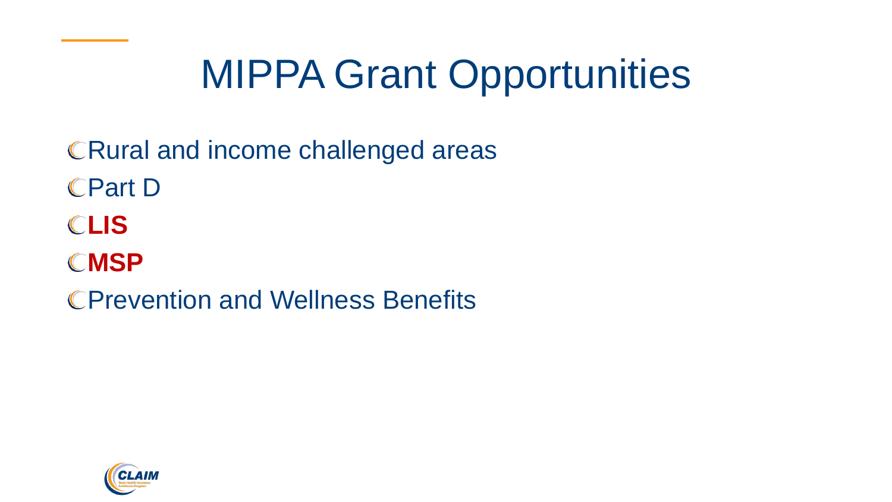### MIPPA Grant Opportunities

CRural and income challenged areas Part D **LIS** CMSP Prevention and Wellness Benefits

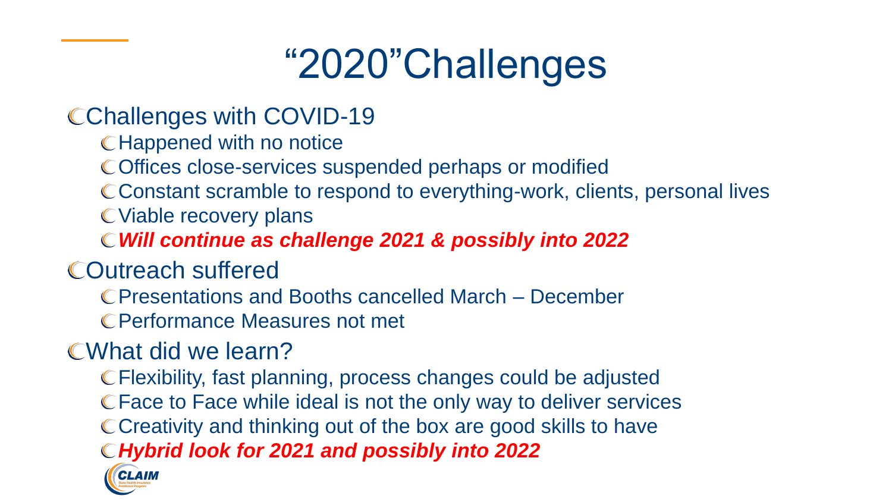### "2020"Challenges

#### CChallenges with COVID-19

- **CHappened with no notice**
- Offices close-services suspended perhaps or modified
- Constant scramble to respond to everything-work, clients, personal lives
- Viable recovery plans
- *Will continue as challenge 2021 & possibly into 2022*
- Outreach suffered
	- Presentations and Booths cancelled March December
	- Performance Measures not met

#### What did we learn?

Flexibility, fast planning, process changes could be adjusted Face to Face while ideal is not the only way to deliver services CCreativity and thinking out of the box are good skills to have *Hybrid look for 2021 and possibly into 2022* CLAIM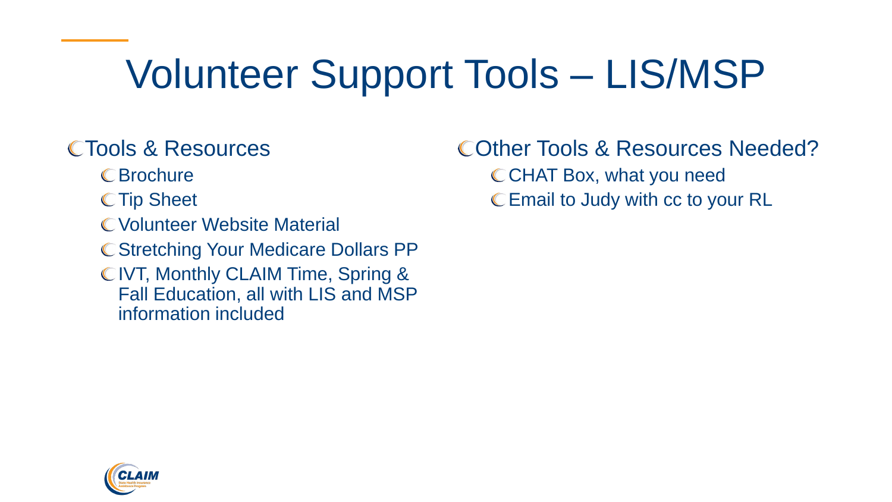### Volunteer Support Tools – LIS/MSP

#### Tools & Resources

- Brochure
- C Tip Sheet
- Volunteer Website Material
- C Stretching Your Medicare Dollars PP
- C IVT, Monthly CLAIM Time, Spring & Fall Education, all with LIS and MSP information included

Other Tools & Resources Needed? CCHAT Box, what you need Email to Judy with cc to your RL

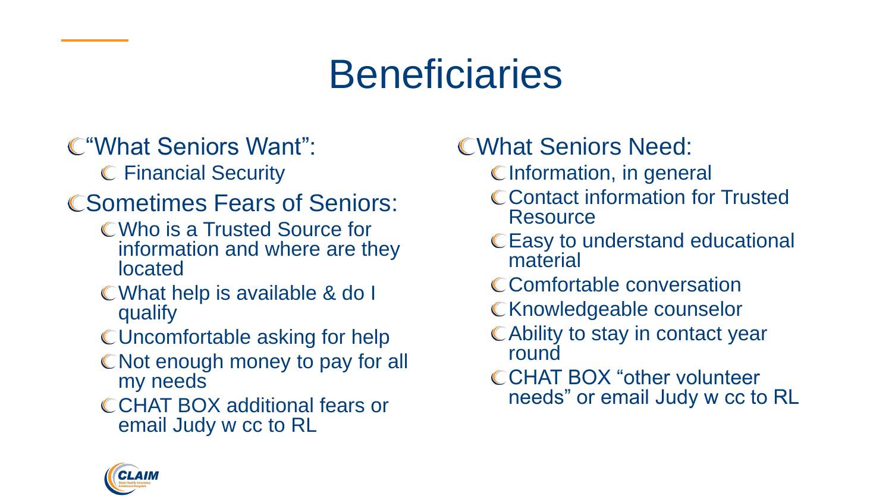### **Beneficiaries**

#### "What Seniors Want":

Financial Security

#### **CSometimes Fears of Seniors:**

- Who is a Trusted Source for information and where are they located
- What help is available & do I qualify
- Uncomfortable asking for help
- C Not enough money to pay for all my needs
- CCHAT BOX additional fears or email Judy w cc to RL

#### What Seniors Need:

- C Information, in general
- C Contact information for Trusted **Resource**
- Easy to understand educational material
- C Comfortable conversation
- C Knowledgeable counselor
- Ability to stay in contact year round
- CCHAT BOX "other volunteer needs" or email Judy w cc to RL

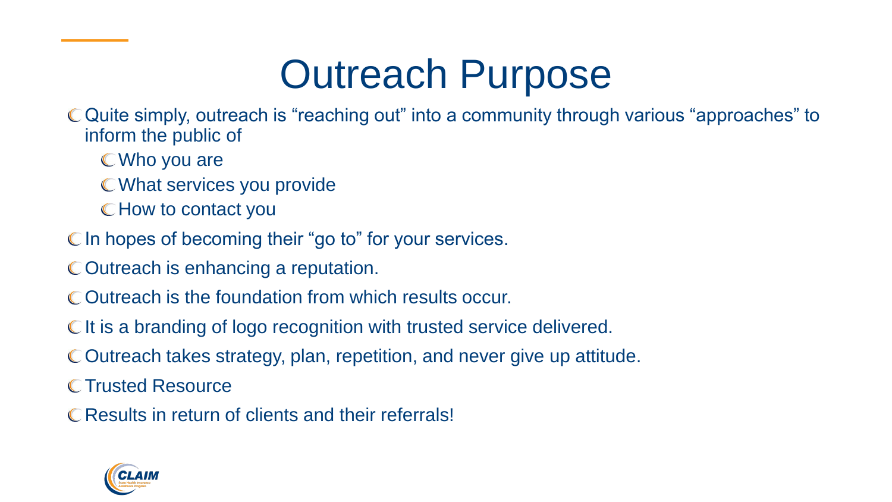### Outreach Purpose

Quite simply, outreach is "reaching out" into a community through various "approaches" to inform the public of

- Who you are
- What services you provide
- How to contact you
- C In hopes of becoming their "go to" for your services.
- C Outreach is enhancing a reputation.
- Outreach is the foundation from which results occur.
- CIt is a branding of logo recognition with trusted service delivered.
- Outreach takes strategy, plan, repetition, and never give up attitude.

C Trusted Resource

C Results in return of clients and their referrals!

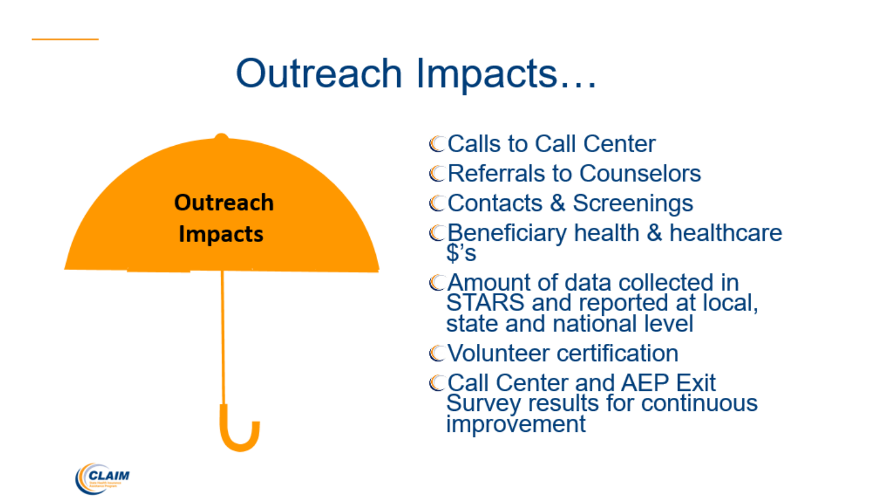#### Outreach Impacts...



**CCalls to Call Center CReferrals to Counselors CContacts & Screenings** CBeneficiary health & healthcare \$'s

CAmount of data collected in STARS and reported at local,<br>state and national level

CVolunteer certification

**CCall Center and AEP Exit** Survey results for continuous improvement

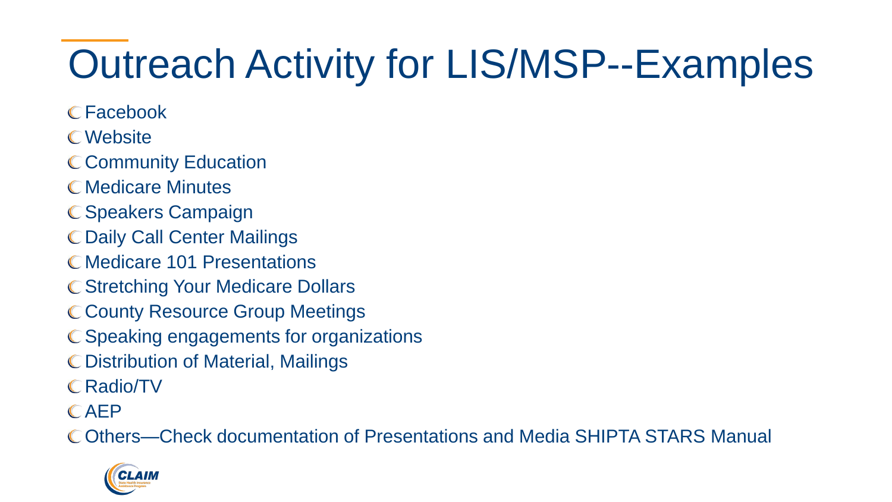## Outreach Activity for LIS/MSP--Examples

- Facebook
- Website
- C Community Education
- **C** Medicare Minutes
- C Speakers Campaign
- Daily Call Center Mailings
- C Medicare 101 Presentations
- **C Stretching Your Medicare Dollars**
- C County Resource Group Meetings
- C Speaking engagements for organizations
- Distribution of Material, Mailings
- Radio/TV
- AEP

Others—Check documentation of Presentations and Media SHIPTA STARS Manual

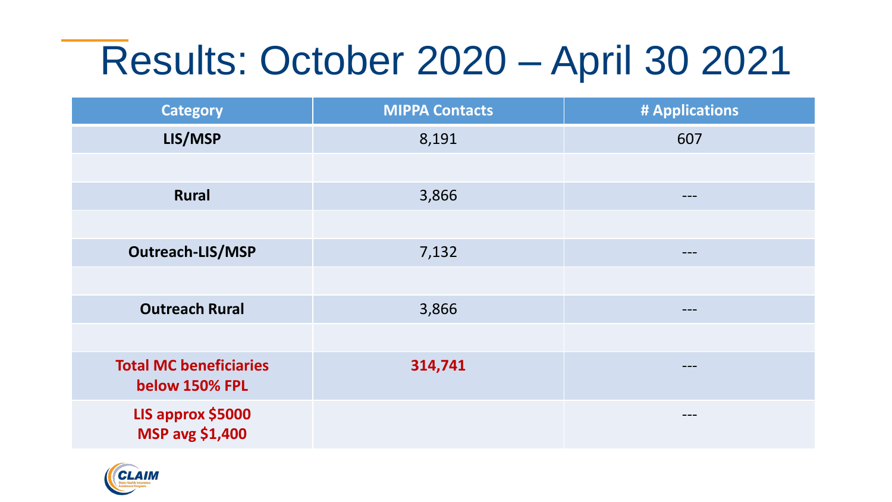### Results: October 2020 – April 30 2021

| <b>Category</b>                                 | <b>MIPPA Contacts</b> | # Applications |
|-------------------------------------------------|-----------------------|----------------|
| LIS/MSP                                         | 8,191                 | 607            |
|                                                 |                       |                |
| <b>Rural</b>                                    | 3,866                 | ---            |
|                                                 |                       |                |
| <b>Outreach-LIS/MSP</b>                         | 7,132                 | $---$          |
|                                                 |                       |                |
| <b>Outreach Rural</b>                           | 3,866                 | ---            |
|                                                 |                       |                |
| <b>Total MC beneficiaries</b><br>below 150% FPL | 314,741               | ---            |
| LIS approx \$5000<br><b>MSP avg \$1,400</b>     |                       | ---            |

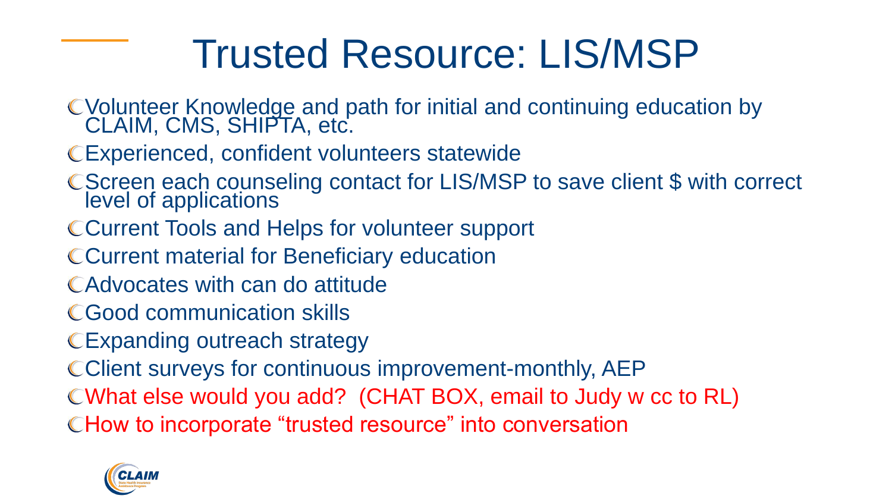#### Trusted Resource: LIS/MSP

- Volunteer Knowledge and path for initial and continuing education by CLAIM, CMS, SHIPTA, etc.
- Experienced, confident volunteers statewide
- Screen each counseling contact for LIS/MSP to save client \$ with correct level of applications
- CCurrent Tools and Helps for volunteer support
- Current material for Beneficiary education
- Advocates with can do attitude
- Good communication skills
- CExpanding outreach strategy
- CClient surveys for continuous improvement-monthly, AEP
- What else would you add? (CHAT BOX, email to Judy w cc to RL)
- CHow to incorporate "trusted resource" into conversation

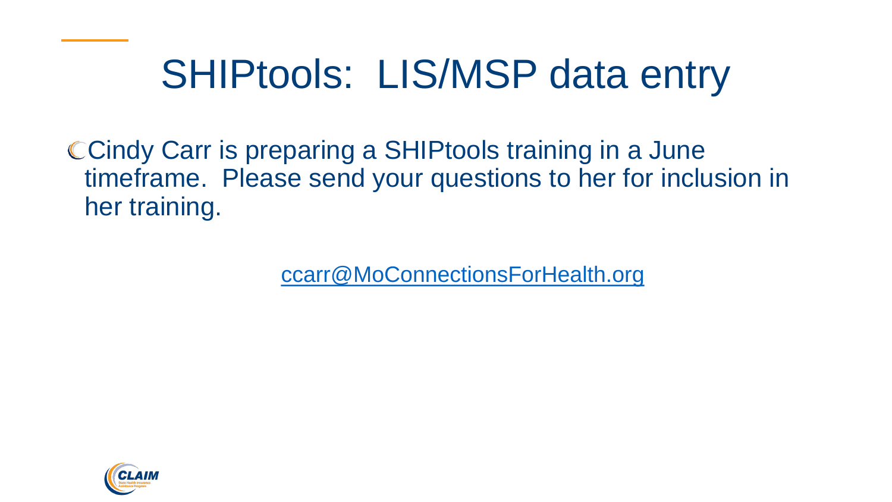### SHIPtools: LIS/MSP data entry

Cindy Carr is preparing a SHIPtools training in a June timeframe. Please send your questions to her for inclusion in her training.

[ccarr@MoConnectionsForHealth.org](mailto:ccarr@MoConnectionsForHealth.org)